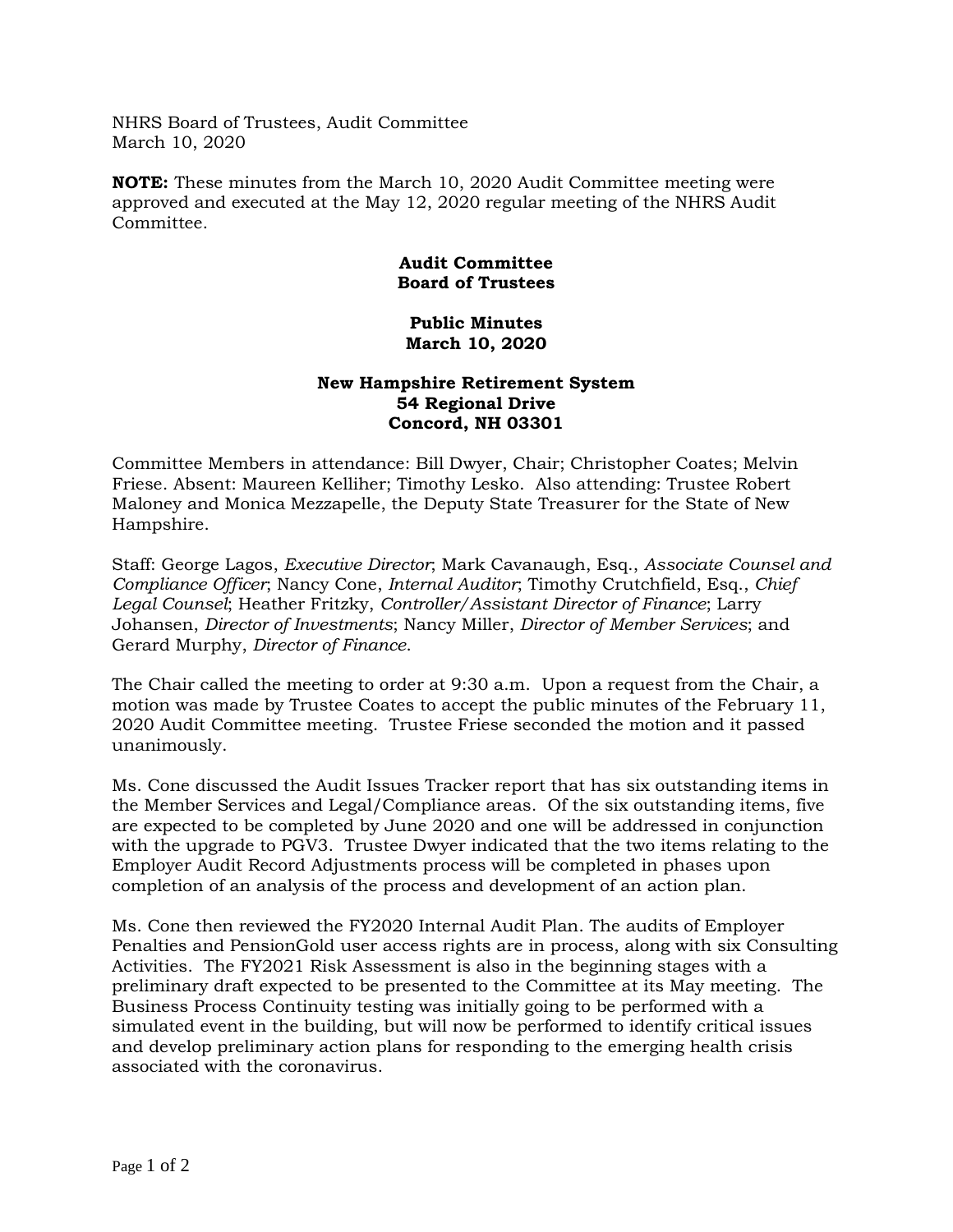NHRS Board of Trustees, Audit Committee March 10, 2020

**NOTE:** These minutes from the March 10, 2020 Audit Committee meeting were approved and executed at the May 12, 2020 regular meeting of the NHRS Audit Committee.

## **Audit Committee Board of Trustees**

## **Public Minutes March 10, 2020**

## **New Hampshire Retirement System 54 Regional Drive Concord, NH 03301**

Committee Members in attendance: Bill Dwyer, Chair; Christopher Coates; Melvin Friese. Absent: Maureen Kelliher; Timothy Lesko. Also attending: Trustee Robert Maloney and Monica Mezzapelle, the Deputy State Treasurer for the State of New Hampshire.

Staff: George Lagos, *Executive Director*; Mark Cavanaugh, Esq., *Associate Counsel and Compliance Officer*; Nancy Cone, *Internal Auditor*; Timothy Crutchfield, Esq., *Chief Legal Counsel*; Heather Fritzky, *Controller/Assistant Director of Finance*; Larry Johansen, *Director of Investments*; Nancy Miller, *Director of Member Services*; and Gerard Murphy, *Director of Finance*.

The Chair called the meeting to order at 9:30 a.m. Upon a request from the Chair, a motion was made by Trustee Coates to accept the public minutes of the February 11, 2020 Audit Committee meeting. Trustee Friese seconded the motion and it passed unanimously.

Ms. Cone discussed the Audit Issues Tracker report that has six outstanding items in the Member Services and Legal/Compliance areas. Of the six outstanding items, five are expected to be completed by June 2020 and one will be addressed in conjunction with the upgrade to PGV3. Trustee Dwyer indicated that the two items relating to the Employer Audit Record Adjustments process will be completed in phases upon completion of an analysis of the process and development of an action plan.

Ms. Cone then reviewed the FY2020 Internal Audit Plan. The audits of Employer Penalties and PensionGold user access rights are in process, along with six Consulting Activities. The FY2021 Risk Assessment is also in the beginning stages with a preliminary draft expected to be presented to the Committee at its May meeting. The Business Process Continuity testing was initially going to be performed with a simulated event in the building, but will now be performed to identify critical issues and develop preliminary action plans for responding to the emerging health crisis associated with the coronavirus.